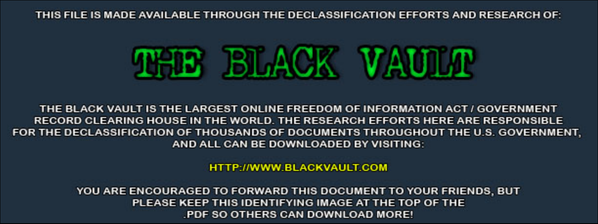THIS FILE IS MADE AVAILABLE THROUGH THE DECLASSIFICATION EFFORTS AND RESEARCH OF:



THE BLACK VAULT IS THE LARGEST ONLINE FREEDOM OF INFORMATION ACT / GOVERNMENT RECORD CLEARING HOUSE IN THE WORLD. THE RESEARCH EFFORTS HERE ARE RESPONSIBLE FOR THE DECLASSIFICATION OF THOUSANDS OF DOCUMENTS THROUGHOUT THE U.S. GOVERNMENT, AND ALL CAN BE DOWNLOADED BY VISITING:

**HTTP://WWW.BLACKVAULT.COM** 

YOU ARE ENCOURAGED TO FORWARD THIS DOCUMENT TO YOUR FRIENDS, BUT PLEASE KEEP THIS IDENTIFYING IMAGE AT THE TOP OF THE PDF SO OTHERS CAN DOWNLOAD MORE!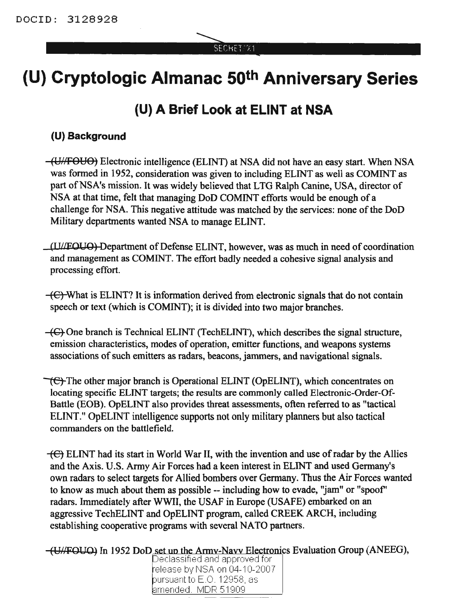#### SECHET/'X1

# **(U) Cryptologic Almanac 50th Anniversary Series**

# **(U) A Brief Look at ELINT at NSA**

### **(U) Background**

(UNFOUO) Electronic intelligence (ELINT) at NSA did not have an easy start. When NSA was formed in 1952, consideration was given to including ELINT as well as COMINT as part of NSA's mission. It was widely believed that LTG Ralph Canine, USA, director of NSA at that time, felt that managing DoD COMINT efforts would be enough of a challenge for NSA. This negative attitude was matched by the services: none of the DoD Military departments wanted NSA to manage ELINT.

(I U/fOUO) Department ofDefense ELINT, however, was as much in need of coordination and management as COMINT. The effort badly needed a cohesive signal analysis and processing effort.

 $-\left(\frac{E}{C}\right)$ What is ELINT? It is information derived from electronic signals that do not contain speech or text (which is COMINT); it is divided into two major branches.

 $-\left(\frac{C}{C}\right)$  One branch is Technical ELINT (TechELINT), which describes the signal structure, emission characteristics, modes of operation, emitter functions, and weapons systems associations of such emitters as radars, beacons, jammers, and navigational signals.

 $\vec{c}$ . The other major branch is Operational ELINT (OpELINT), which concentrates on locating specific ELINT targets; the results are commonly called Electronic-Order-Of-Battle (EOB). OpELINT also provides threat assessments, often referred to as "tactical ELINT." OpELINT intelligence supports not only military planners but also tactical commanders on the battlefield.

 $\overline{+}$ ELINT had its start in World War II, with the invention and use of radar by the Allies and the Axis. U.S. Army Air Forces had a keen interest in ELINT and used Germany's own radars to select targets for Allied bombers over Germany. Thus the Air Forces wanted to know as much about them as possible -- including how to evade, "jam" or "spoof' radars. Immediately after WWII, the USAF in Europe (USAFE) embarked on an aggressive TechELINT and OpELINT program, called CREEK ARCH, including establishing cooperative programs with several NATO partners.

(U//FOUO) In 1952 DoD set up the Army-Navy Electronics Evaluation Group (ANEEG),  $\bigcup_{\text{Declassified and approved for } \bigcap$ 

telease by NSA on 04-10-2007 bursuant to E.O. 12958, as lamended. MDR 51909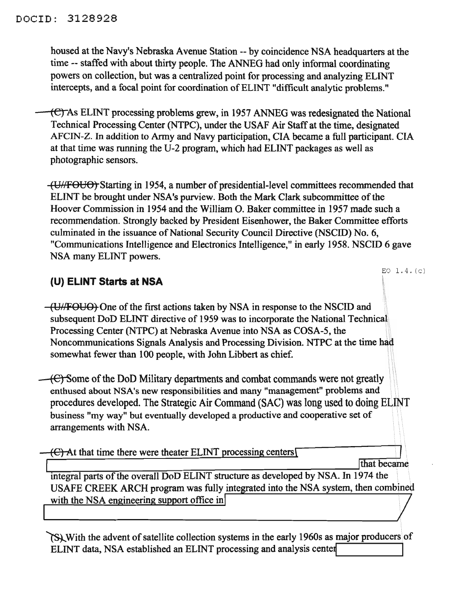housed at the Navy's Nebraska Avenue Station -- by coincidence NSA headquarters at the time -- staffed with about thirty people. The ANNEG had only informal coordinating powers on collection, but was a centralized point for processing and analyzing ELINT intercepts, and a focal point for coordination of ELINT "difficult analytic problems."

(C) As ELINT processing problems grew, in 1957 ANNEG was redesignated the National Technical Processing Center (NTPC), under the USAF Air Staff at the time, designated AFCIN-Z. In addition to Army and Navy participation, CIA became a full participant. CIA at that time was running the U-2 program, which had ELINT packages as well as photographic sensors.

(U//FOUO) Starting in 1954, a number of presidential-level committees recommended that ELINT be brought under NSA's purview. Both the Mark Clark subcommittee of the Hoover Commission in 1954 and the William O. Baker committee in 1957 made such a recommendation. Strongly backed by President Eisenhower, the Baker Committee efforts culminated in the issuance of National Security Council Directive (NSCID) No. 6, "Communications Intelligence and Electronics Intelligence," in early 1958. NSCID 6 gave NSA many ELINT powers.

## **(U) ELINT Starts at NSA**

(UHFOUO) One of the first actions taken by NSA in response to the NSCID and subsequent DoD ELINT directive of 1959 was to incorporate the National Technical. Processing Center (NTPC) at Nebraska Avenue into NSA as COSA-5, the Noncommunications Signals Analysis and Processing Division. NTPC at the time had somewhat fewer than 100 people, with John Libbert as chief.

 $\left\langle \epsilon \right\rangle$  Some of the DoD Military departments and combat commands were not greatly enthused about NSA's new responsibilities and many "management" problems and procedures developed. The Strategic Air Command (SAC) was long used to doing ELINT business "my way" but eventually developed a productive and cooperative set of arrangements with NSA.

 $\left\{ \right\}$  At that time there were theater ELINT processing centers [

EO  $1.4. (c)$ 

Ithat became integral parts of the overall DoD ELINT structure as developed by NSA. In 1974 the USAFE CREEK ARCH program was fully integrated into the NSA system, then combined with the NSA engineering support office in

~With the advent ofsatellite collection systems in the early 1960s as major producers of ELINT data, NSA established an ELINT processing and analysis center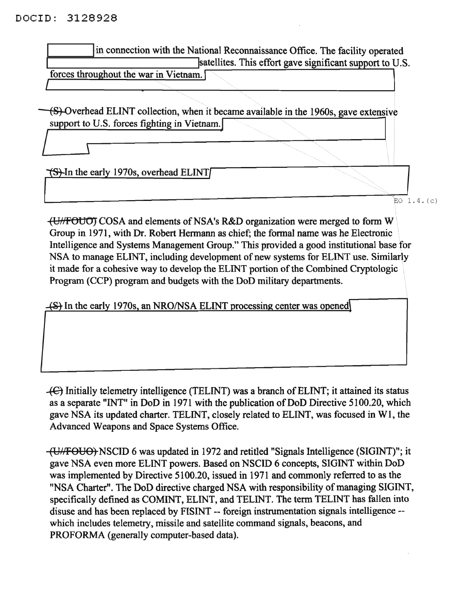#### DOCID: 3128928

I

in connection with the National Reconnaissance Office. The facility operated satellites. This effort gave significant support to U.S.

forces throughout the war in Vietnam.

(S)-Overhead ELINT collection, when it became available in the 1960s, gave extensive support to U.S. forces fighting in Vietnam.

 $\sqrt{S}$ -In the early 1970s, overhead ELINT

1 .....;;.,"E;EoJ"l. 4. (c)

-tU/lFOU01 COSA and elements ofNSA's R&D organization were merged to form W Group in 1971, with Dr. Robert Hermann as chief; the formal name was he Electronic Intelligence and Systems Management Group." This provided a good institutional base for NSA to manage ELINT, including development of new systems for ELINT use. Similarly it made for a cohesive way to develop the ELINT portion of the Combined Cryptologic Program (CCP) program and budgets with the DoD military departments.

(S) In the early 1970s, an NRO/NSA ELINT processing center was opened

 $\leftarrow$  Initially telemetry intelligence (TELINT) was a branch of ELINT; it attained its status as a separate "INT" in DoD in 1971 with the publication of DoD Directive 5100.20, which gave NSA its updated charter. TELINT, closely related to ELINT, was focused in WI, the Advanced Weapons and Space Systems Office.

(UNFOUO) NSCID 6 was updated in 1972 and retitled "Signals Intelligence (SIGINT)"; it gave NSA even more ELINT powers. Based on NSCID 6 concepts, SIGINT within DoD was implemented by Directive 5100.20, issued in 1971 and commonly referred to as the "NSA Charter". The DoD directive charged NSA with responsibility of managing SIGINT, specifically defined as COMINT, ELINT, and TELINT. The term TELINT has fallen into disuse and has been replaced by FISINT -- foreign instrumentation signals intelligence - which includes telemetry, missile and satellite command signals, beacons, and PROFORMA (generally computer-based data).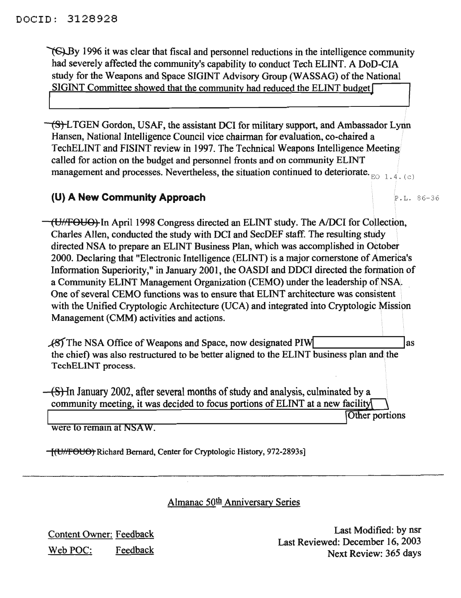$\sqrt{\mathcal{S}}$ By 1996 it was clear that fiscal and personnel reductions in the intelligence community had severely affected the community's capability to conduct Tech ELINT. A DoD-CIA study for the Weapons and Space SIGINT Advisory Group (WASSAG) of the National SIGINT Committee showed that the community had reduced the ELINT budget

(S)-LTGEN Gordon, USAF, the assistant DCI for military support, and Ambassador Lynn Hansen, National Intelligence Council vice chairman for evaluation, co-chaired a TechELINT and FISINT review in 1997. The Technical Weapons Intelligence Meeting called for action on the budget and personnel fronts and on community ELINT management and processes. Nevertheless, the situation continued to deteriorate.  $E_{\text{E}}$  1.4. (c)

#### **(U) A New Community Approach** P.L. 86-36

(UHFOUO) In April 1998 Congress directed an ELINT study. The AIDCI for Collection, Charles Allen, conducted the study with DCI and SecDEF staff. The resulting study directed NSA to prepare an ELINT Business Plan, which was accomplished in October 2000. Declaring that "Electronic Intelligence (ELINT) is a major cornerstone of America's Information Superiority," in January 2001, the OASDI and DOCI directed the formation of a Community ELINT Management Organization (CEMO) under the leadership of NSA. One of several CEMO functions was to ensure that ELINT architecture was consistent with the Unified Cryptologic Architecture (UCA) and integrated into Cryptologic Mission Management (CMM) activities and actions.

 $\sqrt{8}$  The NSA Office of Weapons and Space, now designated PIW as the chief) was also restructured to be better aligned to the ELINT business plan and the TechELINT process.

 $-(S)$ -In January 2002, after several months of study and analysis, culminated by a community meeting, it was decided to focus portions of ELINT at a new facility

Other portions

were to remain at NSAW.

(U77'f'OUO) Richard Bernard, Center for Cryptologic History, 972-2893s]

Almanac 50th Anniversary Series

Content Owner: Feedback Web POC: Feedback

Last Modified: by nsr Last Reviewed: December 16, 2003 Next Review: 365 days